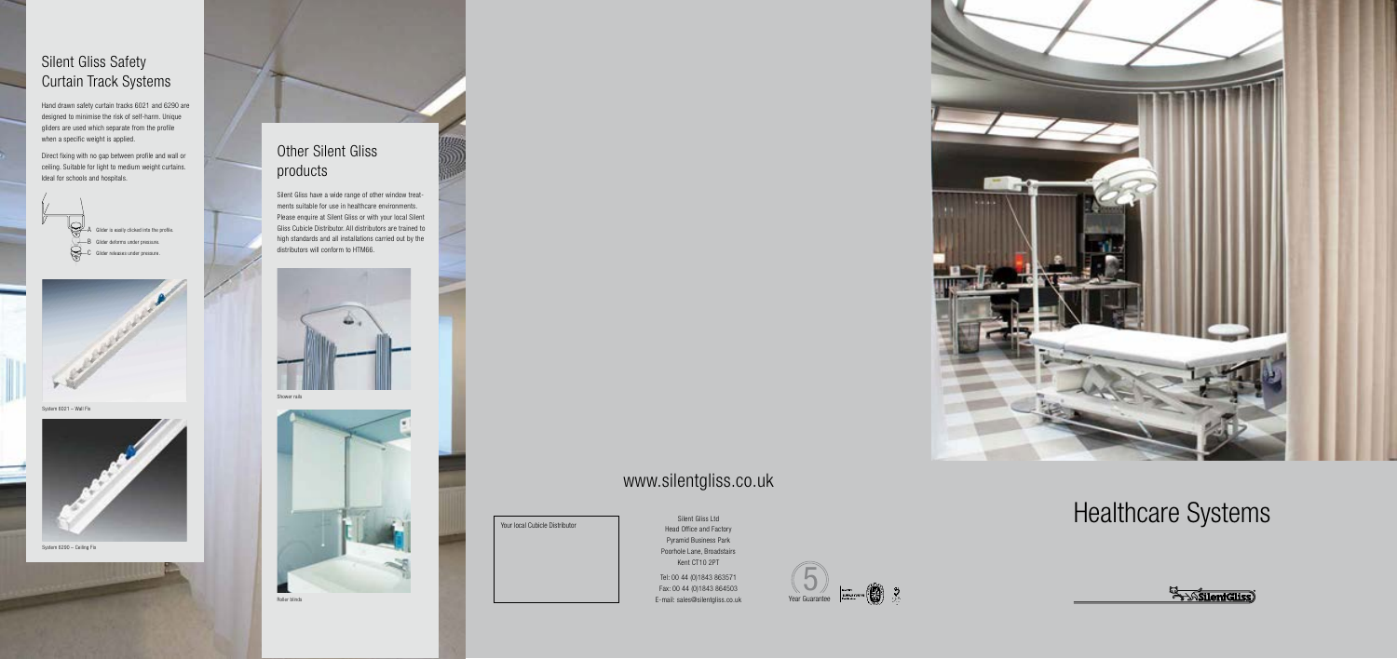Silent Gliss Ltd Head Office and Factory Pyramid Business Park Poorhole Lane, Broadstairs Kent CT10 2PT Tel: 00 44 (0)1843 863571

Fax: 00 44 (0)1843 864503 E-mail: sales@silentgliss.co.uk



## www.silentgliss.co.uk

#### Silent Gliss Safety Curtain Track Systems

Hand drawn safety curtain tracks 6021 and 6290 are designed to minimise the risk of self-harm. Unique gliders are used which separate from the profile when a specific weight is applied.

Direct fixing with no gap between profile and wall or ceiling. Suitable for light to medium weight curtains. Ideal for schools and hospitals.





System 6021 – Wall Fix



System 6290 – Ceiling Fix

#### Other Silent Gliss products

Silent Gliss have a wide range of other window treatments suitable for use in healthcare environments. Please enquire at Silent Gliss or with your local Silent Gliss Cubicle Distributor. All distributors are trained to high standards and all installations carried out by the distributors will conform to HTM66.



Shower rails



Roller blinds



# Your local Cubicle Distributor System Client Gliss Ltd Cubicle Distributor System Client Gliss Ltd Cubicle Distributor

**El Socient Gliss**